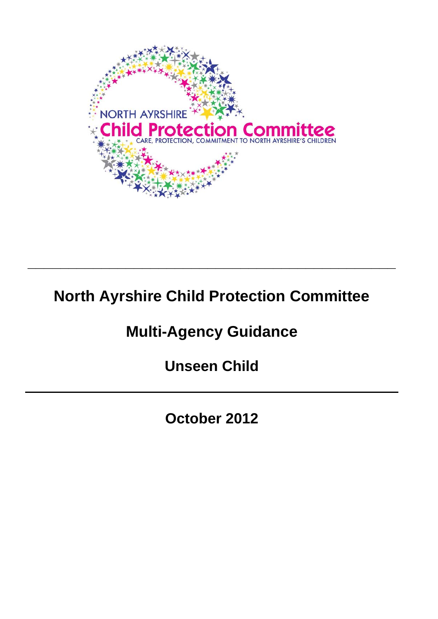

## **North Ayrshire Child Protection Committee**

**\_\_\_\_\_\_\_\_\_\_\_\_\_\_\_\_\_\_\_\_\_\_\_\_\_\_\_\_\_\_\_\_\_\_\_\_\_\_\_\_\_\_\_\_\_** 

# **Multi-Agency Guidance**

**Unseen Child** 

**October 2012**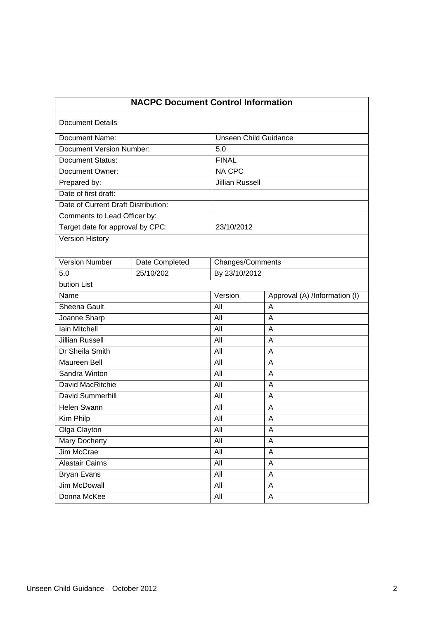| <b>NACPC Document Control Information</b> |                |                              |                               |
|-------------------------------------------|----------------|------------------------------|-------------------------------|
| <b>Document Details</b>                   |                |                              |                               |
| Document Name:                            |                | <b>Unseen Child Guidance</b> |                               |
| <b>Document Version Number:</b>           |                | 5.0                          |                               |
| <b>Document Status:</b>                   |                | <b>FINAL</b>                 |                               |
| <b>Document Owner:</b>                    |                | <b>NA CPC</b>                |                               |
| Prepared by:                              |                | <b>Jillian Russell</b>       |                               |
| Date of first draft:                      |                |                              |                               |
| Date of Current Draft Distribution:       |                |                              |                               |
| Comments to Lead Officer by:              |                |                              |                               |
| Target date for approval by CPC:          |                | 23/10/2012                   |                               |
| <b>Version History</b>                    |                |                              |                               |
| <b>Version Number</b>                     | Date Completed | Changes/Comments             |                               |
| 5.0                                       | 25/10/202      | By 23/10/2012                |                               |
| bution List                               |                |                              |                               |
| Name                                      |                | Version                      | Approval (A) /Information (I) |
| Sheena Gault                              |                | All                          | A                             |
| Joanne Sharp                              |                | All                          | A                             |
| Iain Mitchell                             |                | Āll                          | A                             |
| <b>Jillian Russell</b>                    |                | All                          | A                             |
| Dr Sheila Smith                           |                | All                          | A                             |
| Maureen Bell                              |                | All                          | A                             |
| Sandra Winton                             |                | All                          | A                             |
| David MacRitchie                          |                | All                          | A                             |
| David Summerhill                          |                | All                          | A                             |
| Helen Swann                               |                | All                          | A                             |
| Kim Philp                                 |                | All                          | Α                             |
| Olga Clayton                              |                | <b>All</b>                   | Α                             |
| <b>Mary Docherty</b>                      |                | All                          | A                             |
| Jim McCrae                                |                | All                          | A                             |
| <b>Alastair Cairns</b>                    |                | All                          | A                             |
| <b>Bryan Evans</b>                        |                | All                          | Α                             |
| <b>Jim McDowall</b>                       |                | All                          | A                             |
| Donna McKee                               |                | All                          | A                             |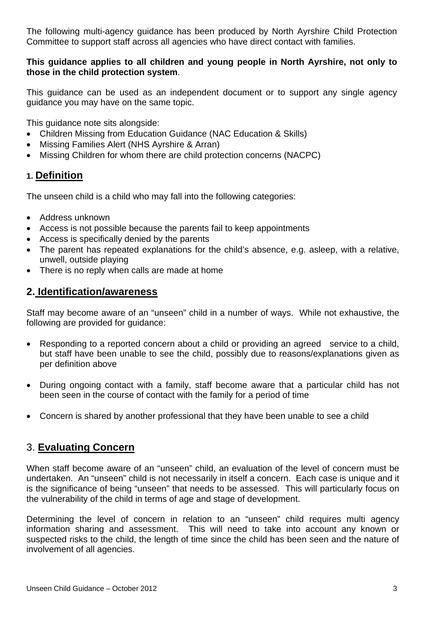The following multi-agency guidance has been produced by North Ayrshire Child Protection Committee to support staff across all agencies who have direct contact with families.

### **This guidance applies to all children and young people in North Ayrshire, not only to those in the child protection system**.

This guidance can be used as an independent document or to support any single agency guidance you may have on the same topic.

This guidance note sits alongside:

- Children Missing from Education Guidance (NAC Education & Skills)
- Missing Families Alert (NHS Avrshire & Arran)
- Missing Children for whom there are child protection concerns (NACPC)

## **1. Definition**

The unseen child is a child who may fall into the following categories:

- Address unknown
- Access is not possible because the parents fail to keep appointments
- Access is specifically denied by the parents
- The parent has repeated explanations for the child's absence, e.g. asleep, with a relative, unwell, outside playing
- There is no reply when calls are made at home

## **2. Identification/awareness**

Staff may become aware of an "unseen" child in a number of ways. While not exhaustive, the following are provided for guidance:

- Responding to a reported concern about a child or providing an agreed service to a child, but staff have been unable to see the child, possibly due to reasons/explanations given as per definition above
- During ongoing contact with a family, staff become aware that a particular child has not been seen in the course of contact with the family for a period of time
- Concern is shared by another professional that they have been unable to see a child

## 3. **Evaluating Concern**

When staff become aware of an "unseen" child, an evaluation of the level of concern must be undertaken. An "unseen" child is not necessarily in itself a concern. Each case is unique and it is the significance of being "unseen" that needs to be assessed. This will particularly focus on the vulnerability of the child in terms of age and stage of development.

Determining the level of concern in relation to an "unseen" child requires multi agency information sharing and assessment. This will need to take into account any known or suspected risks to the child, the length of time since the child has been seen and the nature of involvement of all agencies.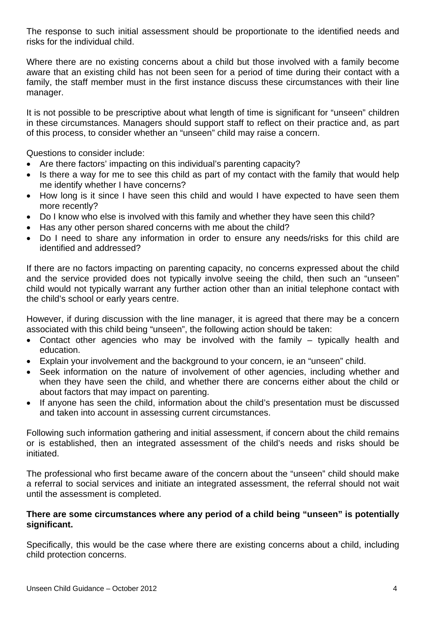The response to such initial assessment should be proportionate to the identified needs and risks for the individual child.

Where there are no existing concerns about a child but those involved with a family become aware that an existing child has not been seen for a period of time during their contact with a family, the staff member must in the first instance discuss these circumstances with their line manager.

It is not possible to be prescriptive about what length of time is significant for "unseen" children in these circumstances. Managers should support staff to reflect on their practice and, as part of this process, to consider whether an "unseen" child may raise a concern.

Questions to consider include:

- Are there factors' impacting on this individual's parenting capacity?
- Is there a way for me to see this child as part of my contact with the family that would help me identify whether I have concerns?
- How long is it since I have seen this child and would I have expected to have seen them more recently?
- Do I know who else is involved with this family and whether they have seen this child?
- Has any other person shared concerns with me about the child?
- Do I need to share any information in order to ensure any needs/risks for this child are identified and addressed?

If there are no factors impacting on parenting capacity, no concerns expressed about the child and the service provided does not typically involve seeing the child, then such an "unseen" child would not typically warrant any further action other than an initial telephone contact with the child's school or early years centre.

However, if during discussion with the line manager, it is agreed that there may be a concern associated with this child being "unseen", the following action should be taken:

- Contact other agencies who may be involved with the family typically health and education.
- Explain your involvement and the background to your concern, ie an "unseen" child.
- Seek information on the nature of involvement of other agencies, including whether and when they have seen the child, and whether there are concerns either about the child or about factors that may impact on parenting.
- If anyone has seen the child, information about the child's presentation must be discussed and taken into account in assessing current circumstances.

Following such information gathering and initial assessment, if concern about the child remains or is established, then an integrated assessment of the child's needs and risks should be initiated.

The professional who first became aware of the concern about the "unseen" child should make a referral to social services and initiate an integrated assessment, the referral should not wait until the assessment is completed.

#### **There are some circumstances where any period of a child being "unseen" is potentially significant.**

Specifically, this would be the case where there are existing concerns about a child, including child protection concerns.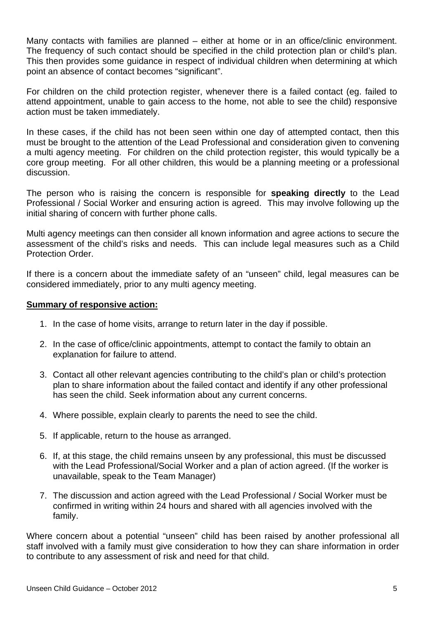Many contacts with families are planned – either at home or in an office/clinic environment. The frequency of such contact should be specified in the child protection plan or child's plan. This then provides some guidance in respect of individual children when determining at which point an absence of contact becomes "significant".

For children on the child protection register, whenever there is a failed contact (eg. failed to attend appointment, unable to gain access to the home, not able to see the child) responsive action must be taken immediately.

In these cases, if the child has not been seen within one day of attempted contact, then this must be brought to the attention of the Lead Professional and consideration given to convening a multi agency meeting. For children on the child protection register, this would typically be a core group meeting. For all other children, this would be a planning meeting or a professional discussion.

The person who is raising the concern is responsible for **speaking directly** to the Lead Professional / Social Worker and ensuring action is agreed. This may involve following up the initial sharing of concern with further phone calls.

Multi agency meetings can then consider all known information and agree actions to secure the assessment of the child's risks and needs. This can include legal measures such as a Child Protection Order.

If there is a concern about the immediate safety of an "unseen" child, legal measures can be considered immediately, prior to any multi agency meeting.

#### **Summary of responsive action:**

- 1. In the case of home visits, arrange to return later in the day if possible.
- 2. In the case of office/clinic appointments, attempt to contact the family to obtain an explanation for failure to attend.
- 3. Contact all other relevant agencies contributing to the child's plan or child's protection plan to share information about the failed contact and identify if any other professional has seen the child. Seek information about any current concerns.
- 4. Where possible, explain clearly to parents the need to see the child.
- 5. If applicable, return to the house as arranged.
- 6. If, at this stage, the child remains unseen by any professional, this must be discussed with the Lead Professional/Social Worker and a plan of action agreed. (If the worker is unavailable, speak to the Team Manager)
- 7. The discussion and action agreed with the Lead Professional / Social Worker must be confirmed in writing within 24 hours and shared with all agencies involved with the family.

Where concern about a potential "unseen" child has been raised by another professional all staff involved with a family must give consideration to how they can share information in order to contribute to any assessment of risk and need for that child.